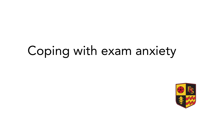## Coping with exam anxiety

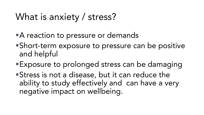## What is anxiety / stress?

- **A** reaction to pressure or demands
- Short-term exposure to pressure can be positive
- $E_{\nu}$ poolise to Exposure to prolonged stress can be damaging
- **Stress is not a disease, but it can reduce the<br>ability to study effectively and can have a very** ability to study effectively and can have a very negative impact on wellbeing.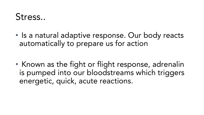#### Stress... Stress..

• Is a natural adaptive response. Our body reacts automatically to prepare us for action

• Known as the fight or flight response, adrenalin<br>is pumped into our bloodstreams which triggers is pumped into our bloodstreams which the process of the triggers of the triggers of the triggers of the triggers of the triggers of the triggers of the triggers of the triggers of the triggers of the triggers of the trigg energetic, quick, acute reactions.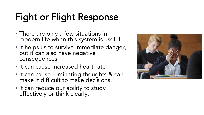## Fight or Flight Response

- There are only a few situations in<br>modern life when this system is useful
- modern is system to get the system • It helps us to survive immediate danger,<br>but it can also have negative but it can also have negative<br>consequences.
- Le consequences. • It can cause increased heart rate
- It can cause ruminating thoughts & can<br>make it difficult to make decisions.
- make it difficult to make a second to • It can reduce our ability to study<br>effectively or think clearly. effectively or think clearly.

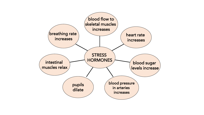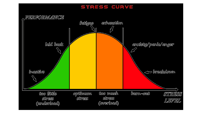#### STRESS CURVE

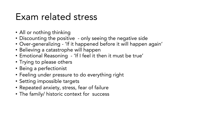#### Exam related stress Exam related stress

- All or nothing thinking
- Discounting the positive only seeing the negative side
- Over-generalizing 'If it happened before it will happen again'
- Believing a catastrophe will happen
- Emotional Reasoning 'If I feel it then it must be true'
- Trying to please others
- Being a perfectionist
- Feeling under pressure to do everything right
- Setting impossible targets
- Repeated anxiety, stress, fear of failure
- The family/ historic context for success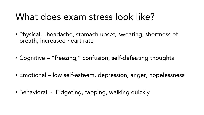#### What does exam stress look like? What does exam stress look like?

- Physical headache, stomach upset, sweating, shortness of breath, increased heart rate
- Cognitive "freezing," confusion, self-defeating thoughts
- Emotional low self-esteem, depression, anger, hopelessness
- Behavioral Fidgeting, tapping, walking quickly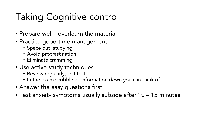## Taking Cognitive control

- Prepare well overlearn the material
- Practice good time management
	- Space out studying
	- Avoid procrastination
	- Eliminate cramming
- Use active study techniques
	- Review regularly, self test
	- In the exam scribble all information down you can think of
- Answer the easy questions first
- Test anxiety symptoms usually subside after 10 15 minutes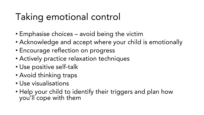## Taking emotional control

- Emphasise choices avoid being the victim
- Acknowledge and accept where your child is emotionally
- Encourage reflection on progress
- Actively practice relaxation techniques
- Use positive self-talk
- Avoid thinking traps
- Use visualisations
- Help your child to identify their triggers and plan how you'll cope with them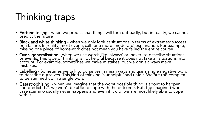## Thinking traps

- Fortune telling when we predict that things will turn out badly, but in reality, we cannot
- predict the future. • Black and white thinking - when we only look at situations in terms of extremes: success<br>| or a failure. In reality, most events call for a more 'moderate' explanation. For example, missing one piece of homework does not mean you have failed the entire course
- missing one piece of homework does not mean you have failed the entire failed the entire • Over- generalisation - when we use words like 'always' or 'never' to describe situations<br>or events. This type of thinking is not helpful because it does not take all situations into account. For example, sometimes we make mistakes, but we don't always make account. For example, some misto we make mistakes, but we do not always make
- mistakes. • Labelling - Sometimes we talk to ourselves in mean ways and use a single negative word<br>to describe ourselves. This kind of thinking is unhelpful and unfair. We are too complex to be summed up in a single word.
- to be summer up in a single word. • Catastrophising - when we imagine that the worst possible thing is about to happen,<br>and predict that we won't be able to cope with the outcome. But, the imagined worst case scenario usually never happens and even if it did, we are most likely able to cope with it. with it.<br>The international control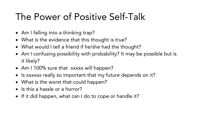#### The Power of Positive Self-Talk The Power of Power of Power of Power of Power of Power of Power of Power of Power of Power of Power of Power o<br>The Power of Power of Power of Power of Power of Power of Power of Power of Power of Power of Power of Power<br>Th

- Am I falling into a thinking trap?
- What is the evidence that this thought is true?
- What would I tell a friend if he/she had the thought?
- Am I confusing possibility with probability? It may be possible but is
- $\Lambda$  is  $\Lambda$  1.10 • Am I 100% sure that xxxxx will happen?
- Is xxxxxx really so important that my future depends on it?
- What is the worst that could happen?
- Is this a hassle or a horror?
- If it did happen, what can I do to cope or handle it?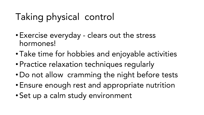## Taking physical control

- Exercise everyday clears out the stress<br>hormones!
- Take time • Take time for hobbies and enjoyable activities<br>• Practice relaxation techniques requierly
- Practice relaxation techniques regularly
- Do not allow cramming the night before tests
- Ensure enough rest and appropriate nutrition
- Set up a calm study environment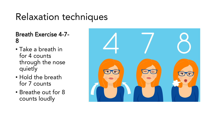## Relaxation techniques

**Breath Exercise 4-7-**Breath Exercise 4-7-

- $\frac{1}{2}$ • Take a breath in<br>for 4 counts for 4 counts<br>through the nose quietly
- que en **y**<br>Un del al • Hold the breath<br>for 7 counts
- procede a count • Breathe out for 8<br>Counts loudly counts loudly

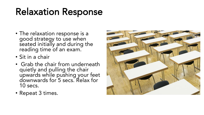## Relaxation Response

- The relaxation response is a government gy to use the seated initially and during the reading time of an exam.
- reading and examen-
- Sit in a chair<br>• Grab the chair from underneath • Grab the chair from underneath<br>quietly and pulling the chair quietly and pulling the chair downwards for 5 secs. Relax for 10 secs.
- $P_{\alpha}$  second  $\Omega$ • Repeat 3 times.

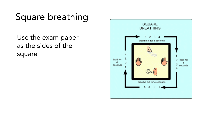## Square breathing

Use the exam paper<br>as the sides of the as the side of the side<br>Square square

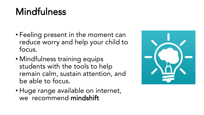# Mindfulness and the same of the same of the same of the same of the same of the same of the same of the same of the same of the same of the same of the same of the same of the same of the same of the same of the same of th

- Feeling present in the moment can reduce worry and help your child to<br>focus.
- $M_{\text{in}}$  of  $f$ . • Mindfulness training equips<br>students with the tools to he students with the tools to help<br>remain calm, sustain attention, and be able to focus.
- be abreved and the • Huge range available on internet,<br>we recommend mindshift we recommend mindshift mindshift

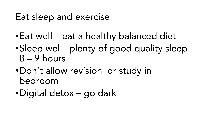### Eat sleep and exercise

- •Eat well eat a healthy balanced diet
- •Sleep well –plenty of good quality sleep<br>8 9 hours
- $D \cap B'$  +  $\cap$ •Don't allow revision or study in
- Digital de •Digital detox – go dark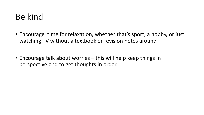#### Be kind

- Encourage time for relaxation, whether that's sport, a hobby, or just watching TV without a textbook or revision notes around
- Encourage talk about worries this will help keep things in perspective and to get thoughts in order.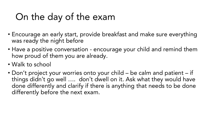## On the day of the exam

- Encourage an early start, provide breakfast and make sure everything
- was ready the night before. • Have a positive conversation - encourage your child and remind them<br>how proud of them you are already. how proud of them you are already.
- Walk to school
- Don't project your worries onto your child be calm and patient if things didn't go well .... don't dwell on it. Ask what they would have<br>done differently and clarify if there is anything that needs to be done differently before the next exam. differently before the next exam.